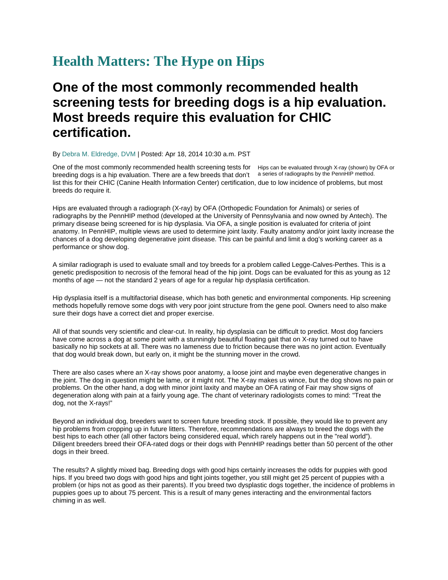## **Health Matters: The Hype on Hips**

## **One of the most commonly recommended health screening tests for breeding dogs is a hip evaluation. Most breeds require this evaluation for CHIC certification.**

By Debra M. Eldredge, DVM | Posted: Apr 18, 2014 10:30 a.m. PST

One of the most commonly recommended health screening tests for Hips can be evaluated through X-ray (shown) by OFA or breeding dogs is a hip evaluation. There are a few breeds that don't a series of radiographs by the PennHIP method.list this for their CHIC (Canine Health Information Center) certification, due to low incidence of problems, but most breeds do require it.

Hips are evaluated through a radiograph (X-ray) by OFA (Orthopedic Foundation for Animals) or series of radiographs by the PennHIP method (developed at the University of Pennsylvania and now owned by Antech). The primary disease being screened for is hip dysplasia. Via OFA, a single position is evaluated for criteria of joint anatomy. In PennHIP, multiple views are used to determine joint laxity. Faulty anatomy and/or joint laxity increase the chances of a dog developing degenerative joint disease. This can be painful and limit a dog's working career as a performance or show dog.

A similar radiograph is used to evaluate small and toy breeds for a problem called Legge-Calves-Perthes. This is a genetic predisposition to necrosis of the femoral head of the hip joint. Dogs can be evaluated for this as young as 12 months of age — not the standard 2 years of age for a regular hip dysplasia certification.

Hip dysplasia itself is a multifactorial disease, which has both genetic and environmental components. Hip screening methods hopefully remove some dogs with very poor joint structure from the gene pool. Owners need to also make sure their dogs have a correct diet and proper exercise.

All of that sounds very scientific and clear-cut. In reality, hip dysplasia can be difficult to predict. Most dog fanciers have come across a dog at some point with a stunningly beautiful floating gait that on X-ray turned out to have basically no hip sockets at all. There was no lameness due to friction because there was no joint action. Eventually that dog would break down, but early on, it might be the stunning mover in the crowd.

There are also cases where an X-ray shows poor anatomy, a loose joint and maybe even degenerative changes in the joint. The dog in question might be lame, or it might not. The X-ray makes us wince, but the dog shows no pain or problems. On the other hand, a dog with minor joint laxity and maybe an OFA rating of Fair may show signs of degeneration along with pain at a fairly young age. The chant of veterinary radiologists comes to mind: "Treat the dog, not the X-rays!"

Beyond an individual dog, breeders want to screen future breeding stock. If possible, they would like to prevent any hip problems from cropping up in future litters. Therefore, recommendations are always to breed the dogs with the best hips to each other (all other factors being considered equal, which rarely happens out in the "real world"). Diligent breeders breed their OFA-rated dogs or their dogs with PennHIP readings better than 50 percent of the other dogs in their breed.

The results? A slightly mixed bag. Breeding dogs with good hips certainly increases the odds for puppies with good hips. If you breed two dogs with good hips and tight joints together, you still might get 25 percent of puppies with a problem (or hips not as good as their parents). If you breed two dysplastic dogs together, the incidence of problems in puppies goes up to about 75 percent. This is a result of many genes interacting and the environmental factors chiming in as well.